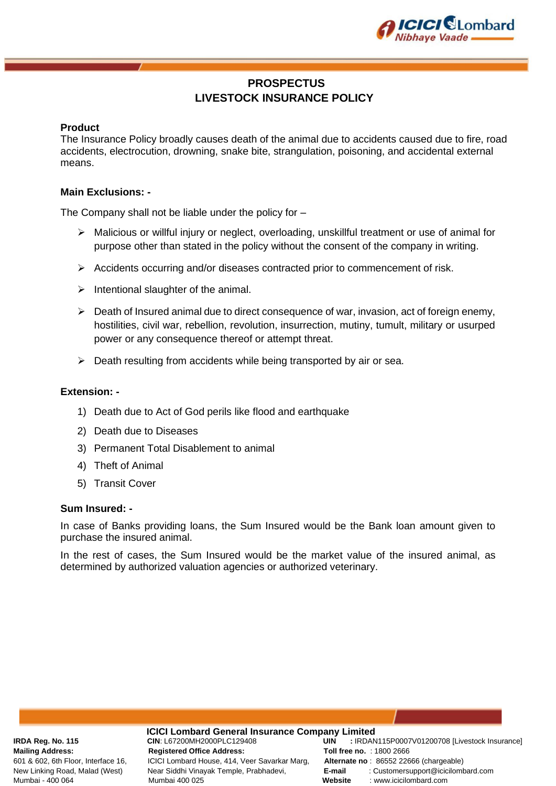

# **PROSPECTUS LIVESTOCK INSURANCE POLICY**

### **Product**

The Insurance Policy broadly causes death of the animal due to accidents caused due to fire, road accidents, electrocution, drowning, snake bite, strangulation, poisoning, and accidental external means.

#### **Main Exclusions: -**

The Company shall not be liable under the policy for –

- ➢ Malicious or willful injury or neglect, overloading, unskillful treatment or use of animal for purpose other than stated in the policy without the consent of the company in writing.
- ➢ Accidents occurring and/or diseases contracted prior to commencement of risk.
- $\triangleright$  Intentional slaughter of the animal.
- ➢ Death of Insured animal due to direct consequence of war, invasion, act of foreign enemy, hostilities, civil war, rebellion, revolution, insurrection, mutiny, tumult, military or usurped power or any consequence thereof or attempt threat.
- ➢ Death resulting from accidents while being transported by air or sea.

#### **Extension: -**

- 1) Death due to Act of God perils like flood and earthquake
- 2) Death due to Diseases
- 3) Permanent Total Disablement to animal
- 4) Theft of Animal
- 5) Transit Cover

#### **Sum Insured: -**

In case of Banks providing loans, the Sum Insured would be the Bank loan amount given to purchase the insured animal.

In the rest of cases, the Sum Insured would be the market value of the insured animal, as determined by authorized valuation agencies or authorized veterinary.

**ICICI Lombard General Insurance Company Limited**<br>CIN: L67200MH2000PLC129408 **CIN: L67200MH2000PLC129408 Mailing Address: Registered Office Address: Toll free no.** : 1800 2666 601 & 602, 6th Floor, Interface 16, ICICI Lombard House, 414, Veer Savarkar Marg, **Alternate no** : 86552 22666 (chargeable) Mumbai - 400 064 Mumbai 400 025 **Website** : www.icicilombard.com

**IRDA Reg. No. 115 CIN**: L67200MH2000PLC129408 **UIN :** IRDAN115P0007V01200708 [Livestock Insurance] New Linking Road, Malad (West) Near Siddhi Vinayak Temple, Prabhadevi, **E-mail** : Customersupport@icicilombard.com